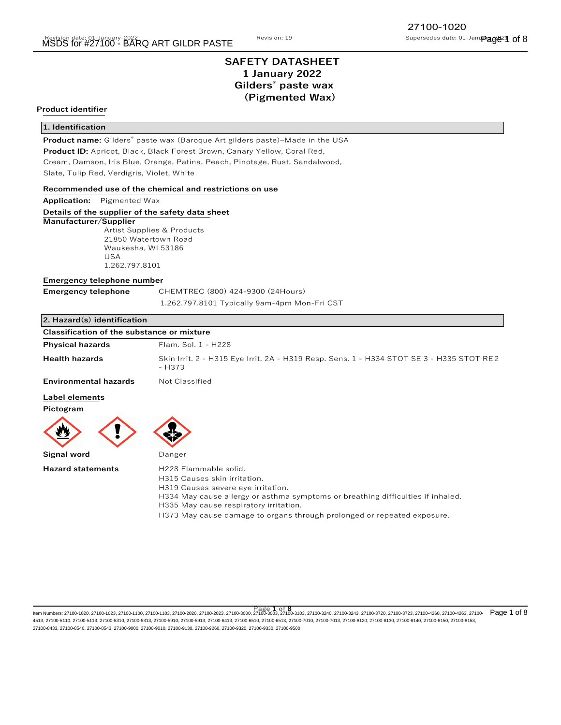# **SAFETY DATASHEET 1 January 2022 Gilders® paste wax (Pigmented Wax)**

# **Product identifier**

## **1. Identification**

**Product name:** Gilders® paste wax (Baroque Art gilders paste)–Made in the USA

**Product ID:** Apricot, Black, Black Forest Brown, Canary Yellow, Coral Red,

Cream, Damson, Iris Blue, Orange, Patina, Peach, Pinotage, Rust, Sandalwood, Slate, Tulip Red, Verdigris, Violet, White

#### **Recommended use of the chemical and restrictions on use**

**Application:** Pigmented Wax

### **Details of the supplier of the safety data sheet**

# **Manufacturer/Supplier**

 Artist Supplies & Products 21850 Watertown Road Waukesha, WI 53186 USA 1.262.797.8101

#### **Emergency telephone number**

| <b>Emergency telephone</b> |  |
|----------------------------|--|
|----------------------------|--|

**Emergency telephone** CHEMTREC (800) 424-9300 (24Hours) 1.262.797.8101 Typically 9am-4pm Mon-Fri CST

# **2. Hazard(s) identification**

| <b>Classification of the substance or mixture</b> |                                                                                                    |
|---------------------------------------------------|----------------------------------------------------------------------------------------------------|
| <b>Physical hazards</b>                           | Flam, Sol. 1 - H228                                                                                |
| <b>Health hazards</b>                             | Skin Irrit. 2 - H315 Eye Irrit. 2A - H319 Resp. Sens. 1 - H334 STOT SE 3 - H335 STOT RE2<br>- H373 |
| <b>Environmental hazards</b>                      | Not Classified                                                                                     |
| <b>Label elements</b><br>Pictogram                |                                                                                                    |
|                                                   |                                                                                                    |
| Signal word                                       | Danger                                                                                             |

| <b>Hazard statements</b> | H228 Flammable solid.                                                           |
|--------------------------|---------------------------------------------------------------------------------|
|                          | H315 Causes skin irritation.                                                    |
|                          | H319 Causes severe eye irritation.                                              |
|                          | H334 May cause allergy or asthma symptoms or breathing difficulties if inhaled. |
|                          | H335 May cause respiratory irritation.                                          |
|                          | H373 May cause damage to organs through prolonged or repeated exposure.         |

ltem Numbers: 27100-1020, 27100-1023, 27100-1103, 27100-1103, 27100-2020, 27100-2023, 27100-3000, 27100-3033, 27100-3103, 27100-3240, 27100-3243, 27100-3720, 27100-3720, 27100-4260, 27100-4263, 27100- Page 1 of 8 4513, 27100-5110, 27100-5113, 27100-5310, 27100-5313, 27100-5910, 27100-5913, 27100-6413, 27100-6510, 27100-6513, 27100-7010, 27100-7013, 27100-8120, 27100-8130, 27100-8140, 27100-8150, 27100-8153, 27100-8433, 27100-8540, 27100-8543, 27100-9000, 27100-9010, 27100-9130, 27100-9260, 27100-9320, 27100-9330, 27100-9500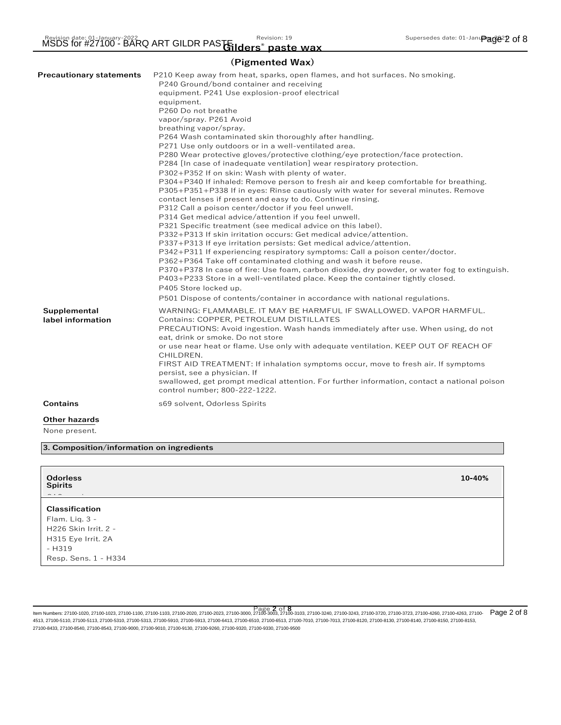# **(Pigmented Wax)**

| <b>Precautionary statements</b>       | P210 Keep away from heat, sparks, open flames, and hot surfaces. No smoking.<br>P240 Ground/bond container and receiving<br>equipment. P241 Use explosion-proof electrical<br>equipment.<br>P260 Do not breathe<br>vapor/spray. P261 Avoid<br>breathing vapor/spray.<br>P264 Wash contaminated skin thoroughly after handling.<br>P271 Use only outdoors or in a well-ventilated area.<br>P280 Wear protective gloves/protective clothing/eye protection/face protection.<br>P284 [In case of inadequate ventilation] wear respiratory protection.<br>P302+P352 If on skin: Wash with plenty of water.<br>P304+P340 If inhaled: Remove person to fresh air and keep comfortable for breathing.<br>P305+P351+P338 If in eyes: Rinse cautiously with water for several minutes. Remove<br>contact lenses if present and easy to do. Continue rinsing.<br>P312 Call a poison center/doctor if you feel unwell.<br>P314 Get medical advice/attention if you feel unwell.<br>P321 Specific treatment (see medical advice on this label).<br>P332+P313 If skin irritation occurs: Get medical advice/attention.<br>P337+P313 If eye irritation persists: Get medical advice/attention.<br>P342+P311 If experiencing respiratory symptoms: Call a poison center/doctor.<br>P362+P364 Take off contaminated clothing and wash it before reuse.<br>P370+P378 In case of fire: Use foam, carbon dioxide, dry powder, or water fog to extinguish.<br>P403+P233 Store in a well-ventilated place. Keep the container tightly closed.<br>P405 Store locked up.<br>P501 Dispose of contents/container in accordance with national regulations. |
|---------------------------------------|----------------------------------------------------------------------------------------------------------------------------------------------------------------------------------------------------------------------------------------------------------------------------------------------------------------------------------------------------------------------------------------------------------------------------------------------------------------------------------------------------------------------------------------------------------------------------------------------------------------------------------------------------------------------------------------------------------------------------------------------------------------------------------------------------------------------------------------------------------------------------------------------------------------------------------------------------------------------------------------------------------------------------------------------------------------------------------------------------------------------------------------------------------------------------------------------------------------------------------------------------------------------------------------------------------------------------------------------------------------------------------------------------------------------------------------------------------------------------------------------------------------------------------------------------------------------------------------------------------------------------------|
| Supplemental<br>label information     | WARNING: FLAMMABLE. IT MAY BE HARMFUL IF SWALLOWED. VAPOR HARMFUL.<br>Contains: COPPER, PETROLEUM DISTILLATES<br>PRECAUTIONS: Avoid ingestion. Wash hands immediately after use. When using, do not<br>eat, drink or smoke. Do not store<br>or use near heat or flame. Use only with adequate ventilation. KEEP OUT OF REACH OF<br>CHILDREN.<br>FIRST AID TREATMENT: If inhalation symptoms occur, move to fresh air. If symptoms<br>persist, see a physician. If<br>swallowed, get prompt medical attention. For further information, contact a national poison<br>control number; 800-222-1222.                                                                                                                                                                                                                                                                                                                                                                                                                                                                                                                                                                                                                                                                                                                                                                                                                                                                                                                                                                                                                                |
| <b>Contains</b>                       | s69 solvent, Odorless Spirits                                                                                                                                                                                                                                                                                                                                                                                                                                                                                                                                                                                                                                                                                                                                                                                                                                                                                                                                                                                                                                                                                                                                                                                                                                                                                                                                                                                                                                                                                                                                                                                                    |
| <b>Other hazards</b><br>None present. |                                                                                                                                                                                                                                                                                                                                                                                                                                                                                                                                                                                                                                                                                                                                                                                                                                                                                                                                                                                                                                                                                                                                                                                                                                                                                                                                                                                                                                                                                                                                                                                                                                  |

**3. Composition/information on ingredients**

| <b>Odorless</b><br><b>Spirits</b><br>$ -$<br>$\sim$ 100 $\pm$                                                           | $10 - 40%$ |
|-------------------------------------------------------------------------------------------------------------------------|------------|
| <b>Classification</b><br>Flam. Liq. 3 -<br>H226 Skin Irrit. 2 -<br>H315 Eye Irrit. 2A<br>- H319<br>Resp. Sens. 1 - H334 |            |

ltem Numbers: 27100-1020, 27100-1023, 27100-1103, 27100-1103, 27100-2020, 27100-2023, 27100-3000, 27100-303, 27100-3103, 27100-3240, 27100-3243, 27100-3720, 27100-3723, 27100-4260, 27100-4263, 27100- Page 2 of 8 4513, 27100-5110, 27100-5113, 27100-5310, 27100-5313, 27100-5910, 27100-5913, 27100-6413, 27100-6510, 27100-6513, 27100-7010, 27100-7013, 27100-8120, 27100-8130, 27100-8140, 27100-8150, 27100-8153, 27100-8433, 27100-8540, 27100-8543, 27100-9000, 27100-9010, 27100-9130, 27100-9260, 27100-9320, 27100-9330, 27100-9500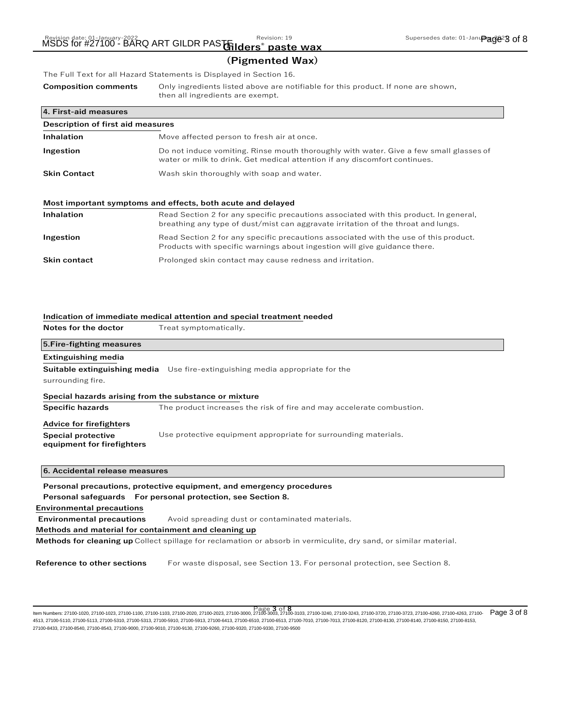# **(Pigmented Wax)**

The Full Text for all Hazard Statements is Displayed in Section 16.

**Composition comments** Only ingredients listed above are notifiable for this product. If none are shown, then all ingredients are exempt.

| 4. First-aid measures             |                                                                                                                                                                            |  |
|-----------------------------------|----------------------------------------------------------------------------------------------------------------------------------------------------------------------------|--|
| Description of first aid measures |                                                                                                                                                                            |  |
| <b>Inhalation</b>                 | Move affected person to fresh air at once.                                                                                                                                 |  |
| Ingestion                         | Do not induce vomiting. Rinse mouth thoroughly with water. Give a few small glasses of<br>water or milk to drink. Get medical attention if any discomfort continues.       |  |
| <b>Skin Contact</b>               | Wash skin thoroughly with soap and water.                                                                                                                                  |  |
|                                   | Most important symptoms and effects, both acute and delayed                                                                                                                |  |
| Inhalation                        | Read Section 2 for any specific precautions associated with this product. In general,<br>breathing any type of dust/mist can aggravate irritation of the throat and lungs. |  |
| Ingestion                         | Read Section 2 for any specific precautions associated with the use of this product.<br>Products with specific warnings about ingestion will give guidance there.          |  |

| Prolonged skin contact may cause redness and irritation. |
|----------------------------------------------------------|
|                                                          |

# **Indication of immediate medical attention and special treatment needed**

**Notes for the doctor** Treat symptomatically.

| 5. Fire-fighting measures                               |                                                                                      |
|---------------------------------------------------------|--------------------------------------------------------------------------------------|
| <b>Extinguishing media</b>                              |                                                                                      |
| surrounding fire.                                       | <b>Suitable extinguishing media</b> Use fire-extinguishing media appropriate for the |
| Special hazards arising from the substance or mixture   |                                                                                      |
| <b>Specific hazards</b>                                 | The product increases the risk of fire and may accelerate combustion.                |
| <b>Advice for firefighters</b>                          |                                                                                      |
| <b>Special protective</b><br>equipment for firefighters | Use protective equipment appropriate for surrounding materials.                      |
| 6. Accidental release measures                          |                                                                                      |
|                                                         | Personal precautions, protective equipment, and emergency procedures                 |
|                                                         | Personal safeguards For personal protection, see Section 8.                          |
| <b>Environmental precautions</b>                        |                                                                                      |

**Environmental precautions** Avoid spreading dust or contaminated materials.

#### **Methods and material for containment and cleaning up**

**Methods for cleaning up** Collect spillage for reclamation or absorb in vermiculite, dry sand, or similar material.

**Reference to other sections** For waste disposal, see Section 13. For personal protection, see Section 8.

Page 3 of 8<br>Item Numbers: 27100-1020, 27100-4260, 27100-4263, 27100-1100, 27100-1103, 27100-2020, 27100-2023, 27100-3000, 27100-303, 27100-3103, 27100-3240, 27100-3243, 27100-3720, 27100-3723, 27100-4260, 27100-4263, 27100 4513, 27100-5110, 27100-5113, 27100-5310, 27100-5313, 27100-5910, 27100-5913, 27100-6413, 27100-6510, 27100-6513, 27100-7010, 27100-7013, 27100-8120, 27100-8130, 27100-8140, 27100-8150, 27100-8153, 27100-8433, 27100-8540, 27100-8543, 27100-9000, 27100-9010, 27100-9130, 27100-9260, 27100-9320, 27100-9330, 27100-9500 Page 3 of 8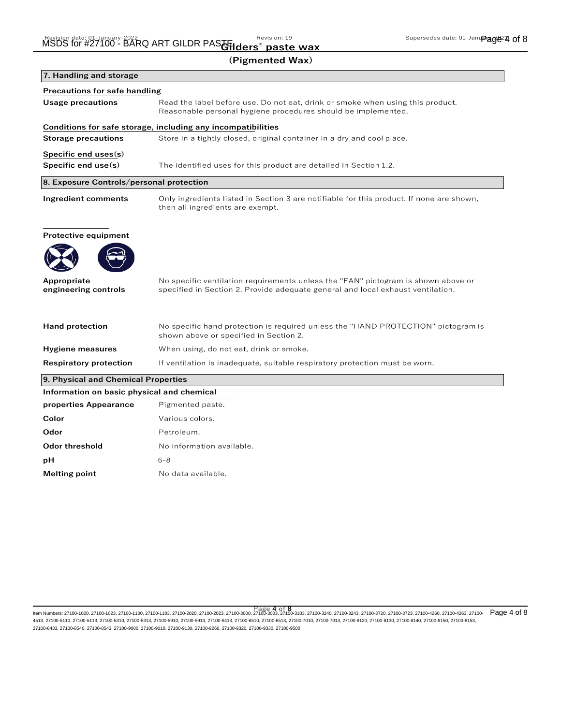**Odor threshold** No information available.

**Melting point** No data available.

**pH** 6-8

|                                               | (Pigmented Wax)                                                                                                                                                      |
|-----------------------------------------------|----------------------------------------------------------------------------------------------------------------------------------------------------------------------|
| 7. Handling and storage                       |                                                                                                                                                                      |
| <b>Precautions for safe handling</b>          |                                                                                                                                                                      |
| <b>Usage precautions</b>                      | Read the label before use. Do not eat, drink or smoke when using this product.<br>Reasonable personal hygiene procedures should be implemented.                      |
|                                               | Conditions for safe storage, including any incompatibilities                                                                                                         |
| <b>Storage precautions</b>                    | Store in a tightly closed, original container in a dry and cool place.                                                                                               |
| Specific end uses(s)<br>Specific end $use(s)$ | The identified uses for this product are detailed in Section 1.2.                                                                                                    |
| 8. Exposure Controls/personal protection      |                                                                                                                                                                      |
|                                               |                                                                                                                                                                      |
| <b>Ingredient comments</b>                    | Only ingredients listed in Section 3 are notifiable for this product. If none are shown,<br>then all ingredients are exempt.                                         |
| <b>Protective equipment</b>                   |                                                                                                                                                                      |
|                                               |                                                                                                                                                                      |
| Appropriate<br>engineering controls           | No specific ventilation requirements unless the "FAN" pictogram is shown above or<br>specified in Section 2. Provide adequate general and local exhaust ventilation. |
| <b>Hand protection</b>                        | No specific hand protection is required unless the "HAND PROTECTION" pictogram is<br>shown above or specified in Section 2.                                          |
| <b>Hygiene measures</b>                       | When using, do not eat, drink or smoke.                                                                                                                              |
| <b>Respiratory protection</b>                 | If ventilation is inadequate, suitable respiratory protection must be worn.                                                                                          |
| 9. Physical and Chemical Properties           |                                                                                                                                                                      |
| Information on basic physical and chemical    |                                                                                                                                                                      |
| properties Appearance                         | Pigmented paste.                                                                                                                                                     |
| Color                                         | Various colors.                                                                                                                                                      |
| Odor                                          | Petroleum.                                                                                                                                                           |

ltem Numbers: 27100-1020, 27100-1023, 27100-1103, 27100-1103, 27100-2020, 27100-2023, 27100-3000, 27100-3033, 27100-3103, 27100-3240, 27100-3243, 27100-3720, 27100-3720, 27100-4260, 27100-4263, 27100- Page 4 of 8 4513, 27100-5110, 27100-5113, 27100-5310, 27100-5313, 27100-5910, 27100-5913, 27100-6413, 27100-6510, 27100-6513, 27100-7010, 27100-7013, 27100-8120, 27100-8130, 27100-8140, 27100-8150, 27100-8153, 27100-8433, 27100-8540, 27100-8543, 27100-9000, 27100-9010, 27100-9130, 27100-9260, 27100-9320, 27100-9330, 27100-9500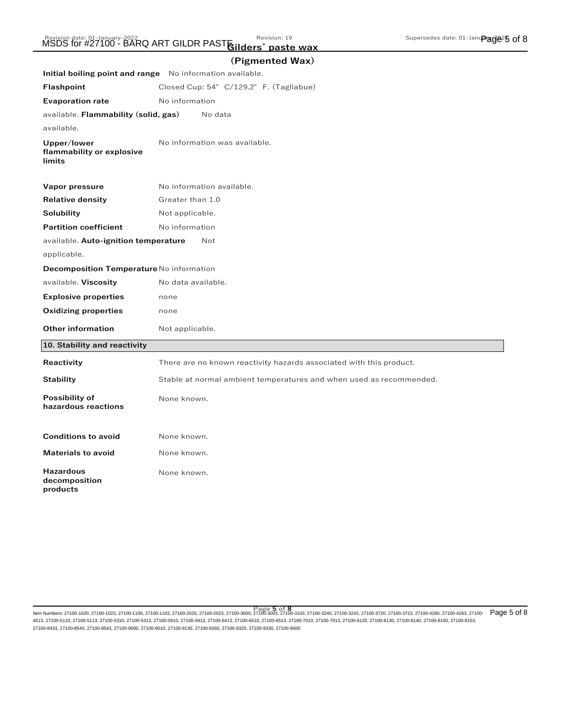|                                                           | (Pigmented Wax)                                                     |
|-----------------------------------------------------------|---------------------------------------------------------------------|
| Initial boiling point and range No information available. |                                                                     |
| <b>Flashpoint</b>                                         | Closed Cup: 54° C/129.2° F. (Tagliabue)                             |
| <b>Evaporation rate</b>                                   | No information                                                      |
| available. Flammability (solid, gas)                      | No data                                                             |
| available.                                                |                                                                     |
| Upper/lower<br>flammability or explosive<br>limits        | No information was available.                                       |
| Vapor pressure                                            | No information available.                                           |
| <b>Relative density</b>                                   | Greater than 1.0                                                    |
| Solubility                                                | Not applicable.                                                     |
| <b>Partition coefficient</b>                              | No information                                                      |
| available. Auto-ignition temperature                      | Not                                                                 |
| applicable.                                               |                                                                     |
| Decomposition Temperature No information                  |                                                                     |
| available. Viscosity                                      | No data available.                                                  |
| <b>Explosive properties</b>                               | none                                                                |
| <b>Oxidizing properties</b>                               | none                                                                |
| <b>Other information</b>                                  | Not applicable.                                                     |
| 10. Stability and reactivity                              |                                                                     |
| Reactivity                                                | There are no known reactivity hazards associated with this product. |
| <b>Stability</b>                                          | Stable at normal ambient temperatures and when used as recommended. |
| Possibility of<br>hazardous reactions                     | None known.                                                         |
| <b>Conditions to avoid</b>                                | None known.                                                         |
| <b>Materials to avoid</b>                                 | None known.                                                         |
| <b>Hazardous</b><br>decomposition<br>products             | None known.                                                         |

ltem Numbers: 27100-1020, 27100-1023, 27100-1103, 27100-1103, 27100-2020, 27100-2023, 27100-3000, 27100-3033, 27100-3103, 27100-3240, 27100-3243, 27100-3720, 27100-3723, 27100-4260, 27100-4263, 27100- Page 5 of 8 4513, 27100-5110, 27100-5113, 27100-5310, 27100-5313, 27100-5910, 27100-5913, 27100-6413, 27100-6510, 27100-6513, 27100-7010, 27100-7013, 27100-8120, 27100-8130, 27100-8140, 27100-8150, 27100-8153, 27100-8433, 27100-8540, 27100-8543, 27100-9000, 27100-9010, 27100-9130, 27100-9260, 27100-9320, 27100-9330, 27100-9500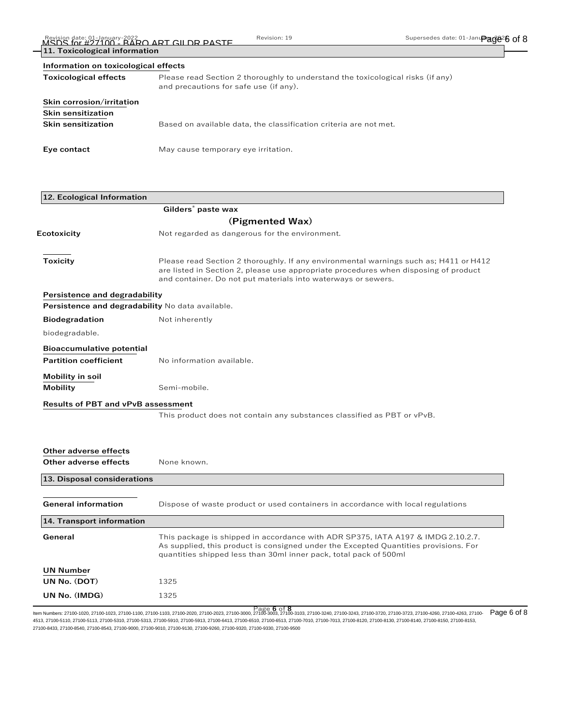| 11. Toxicological information |                                                                                                                           |
|-------------------------------|---------------------------------------------------------------------------------------------------------------------------|
|                               | Information on toxicological effects                                                                                      |
| <b>Toxicological effects</b>  | Please read Section 2 thoroughly to understand the toxicological risks (if any)<br>and precautions for safe use (if any). |
| Skin corrosion/irritation     |                                                                                                                           |
| <b>Skin sensitization</b>     |                                                                                                                           |
| <b>Skin sensitization</b>     | Based on available data, the classification criteria are not met.                                                         |
| Eye contact                   | May cause temporary eye irritation.                                                                                       |

| 12. Ecological Information                       |                                                                                                                                                                                                                                                |
|--------------------------------------------------|------------------------------------------------------------------------------------------------------------------------------------------------------------------------------------------------------------------------------------------------|
|                                                  | Gilders <sup>®</sup> paste wax                                                                                                                                                                                                                 |
|                                                  | (Pigmented Wax)                                                                                                                                                                                                                                |
| Ecotoxicity                                      | Not regarded as dangerous for the environment.                                                                                                                                                                                                 |
| Toxicity                                         | Please read Section 2 thoroughly. If any environmental warnings such as; H411 or H412<br>are listed in Section 2, please use appropriate procedures when disposing of product<br>and container. Do not put materials into waterways or sewers. |
| Persistence and degradability                    |                                                                                                                                                                                                                                                |
| Persistence and degradability No data available. |                                                                                                                                                                                                                                                |
| <b>Biodegradation</b>                            | Not inherently                                                                                                                                                                                                                                 |
| biodegradable.                                   |                                                                                                                                                                                                                                                |
| <b>Bioaccumulative potential</b>                 |                                                                                                                                                                                                                                                |
| <b>Partition coefficient</b>                     | No information available.                                                                                                                                                                                                                      |
| Mobility in soil                                 |                                                                                                                                                                                                                                                |
| Mobility                                         | Semi-mobile.                                                                                                                                                                                                                                   |
| <b>Results of PBT and vPvB assessment</b>        |                                                                                                                                                                                                                                                |
|                                                  | This product does not contain any substances classified as PBT or vPvB.                                                                                                                                                                        |
|                                                  |                                                                                                                                                                                                                                                |
|                                                  |                                                                                                                                                                                                                                                |
| Other adverse effects                            |                                                                                                                                                                                                                                                |
| Other adverse effects                            | None known.                                                                                                                                                                                                                                    |
| 13. Disposal considerations                      |                                                                                                                                                                                                                                                |
|                                                  |                                                                                                                                                                                                                                                |
| <b>General information</b>                       | Dispose of waste product or used containers in accordance with local regulations                                                                                                                                                               |
| 14. Transport information                        |                                                                                                                                                                                                                                                |
| General                                          | This package is shipped in accordance with ADR SP375, IATA A197 & IMDG 2.10.2.7.<br>As supplied, this product is consigned under the Excepted Quantities provisions. For<br>quantities shipped less than 30ml inner pack, total pack of 500ml  |
| <b>UN Number</b>                                 |                                                                                                                                                                                                                                                |
| UN No. (DOT)                                     | 1325                                                                                                                                                                                                                                           |
| UN No. (IMDG)                                    | 1325                                                                                                                                                                                                                                           |

ltem Numbers: 27100-1020, 27100-1023, 27100-1103, 27100-1103, 27100-2020, 27100-2023, 27100-3000, 27100-3033, 27100-3103, 27100-3240, 27100-3243, 27100-3720, 27100-3723, 27100-4260, 27100-4263, 27100- Page 6 of 8 4513, 27100-5110, 27100-5113, 27100-5310, 27100-5313, 27100-5910, 27100-5913, 27100-6413, 27100-6510, 27100-6513, 27100-7010, 27100-7013, 27100-8120, 27100-8130, 27100-8140, 27100-8150, 27100-8153, 27100-8433, 27100-8540, 27100-8543, 27100-9000, 27100-9010, 27100-9130, 27100-9260, 27100-9320, 27100-9330, 27100-9500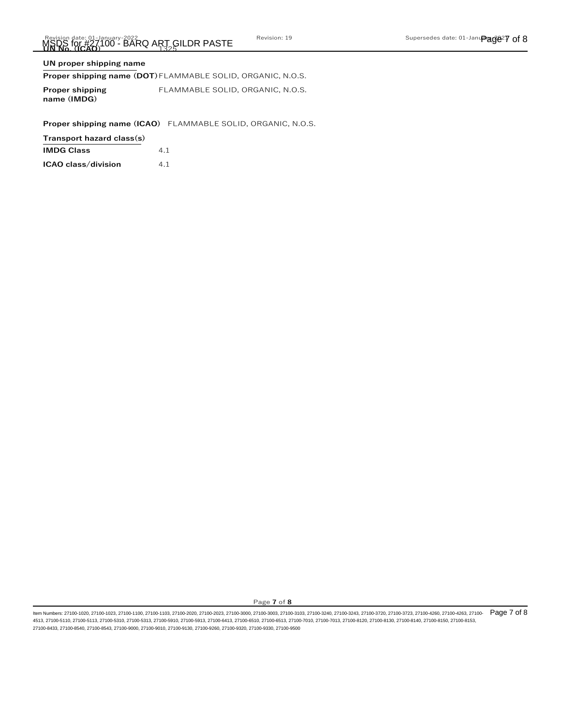# **UN proper shipping name**

# **Proper shipping name (DOT)**FLAMMABLE SOLID, ORGANIC, N.O.S.

| <b>Proper shipping</b> | FLAMMABLE SOLID. ORGANIC. N.O.S. |
|------------------------|----------------------------------|
| name (IMDG)            |                                  |

**Proper shipping name (ICAO)** FLAMMABLE SOLID, ORGANIC, N.O.S.

**Transport hazard class(s)**

| <b>IMDG Class</b> | 4.1 |
|-------------------|-----|
|-------------------|-----|

|  | ICAO class/division | 4.1 |  |
|--|---------------------|-----|--|
|  |                     |     |  |

Page **7** of **8**

ltem Numbers: 27100-1020, 27100-1023, 27100-1100, 27100-1103, 27100-2020, 27100-2023, 27100-3000, 27100-3003, 27100-3130, 27100-3240, 27100-3240, 27100-3720, 27100-3720, 27100-4260, 27100-4263, 27100-4283, 27100-4280, 2710 4513, 27100-5110, 27100-5113, 27100-5310, 27100-5313, 27100-5910, 27100-5913, 27100-6413, 27100-6510, 27100-6513, 27100-7010, 27100-7013, 27100-8120, 27100-8130, 27100-8140, 27100-8150, 27100-8153, 27100-8433, 27100-8540, 27100-8543, 27100-9000, 27100-9010, 27100-9130, 27100-9260, 27100-9320, 27100-9330, 27100-9500